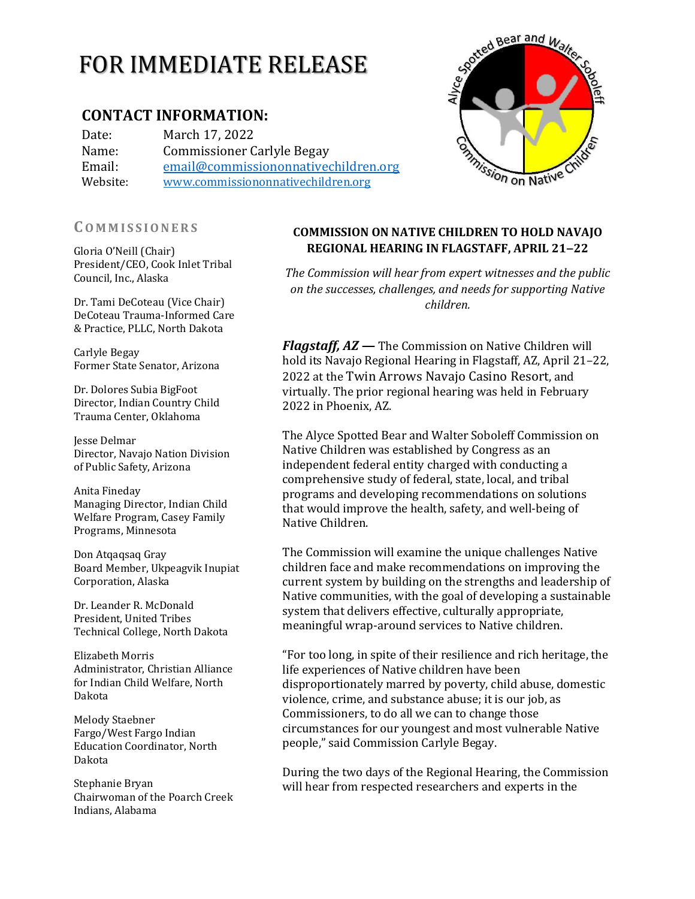# FOR IMMEDIATE RELEASE

## **CONTACT INFORMATION:**

Date: March 17, 2022 Name: Commissioner Carlyle Begay Email: [email@commissiononnativechildren.org](mailto:email@commissiononnativechildren.org) Website: [www.commissiononnativechildren.org](http://www.commissiononnativechildren.org/)

### **CO M M I S S I O N E R S**

Gloria O'Neill (Chair) President/CEO, Cook Inlet Tribal Council, Inc., Alaska

Dr. Tami DeCoteau (Vice Chair) DeCoteau Trauma-Informed Care & Practice, PLLC, North Dakota

Carlyle Begay Former State Senator, Arizona

Dr. Dolores Subia BigFoot Director, Indian Country Child Trauma Center, Oklahoma

Jesse Delmar Director, Navajo Nation Division of Public Safety, Arizona

Anita Fineday Managing Director, Indian Child Welfare Program, Casey Family Programs, Minnesota

Don Atqaqsaq Gray Board Member, Ukpeagvik Inupiat Corporation, Alaska

Dr. Leander R. McDonald President, United Tribes Technical College, North Dakota

Elizabeth Morris Administrator, Christian Alliance for Indian Child Welfare, North Dakota

Melody Staebner Fargo/West Fargo Indian Education Coordinator, North Dakota

Stephanie Bryan Chairwoman of the Poarch Creek Indians, Alabama

## **COMMISSION ON NATIVE CHILDREN TO HOLD NAVAJO REGIONAL HEARING IN FLAGSTAFF, APRIL 21‒22**

*The Commission will hear from expert witnesses and the public on the successes, challenges, and needs for supporting Native children.*

*Flagstaff, AZ —* The Commission on Native Children will hold its Navajo Regional Hearing in Flagstaff, AZ, April 21–22, 2022 at the Twin Arrows Navajo Casino Resort, and virtually. The prior regional hearing was held in February 2022 in Phoenix, AZ.

The Alyce Spotted Bear and Walter Soboleff Commission on Native Children was established by Congress as an independent federal entity charged with conducting a comprehensive study of federal, state, local, and tribal programs and developing recommendations on solutions that would improve the health, safety, and well‐being of Native Children.

The Commission will examine the unique challenges Native children face and make recommendations on improving the current system by building on the strengths and leadership of Native communities, with the goal of developing a sustainable system that delivers effective, culturally appropriate, meaningful wrap-around services to Native children.

"For too long, in spite of their resilience and rich heritage, the life experiences of Native children have been disproportionately marred by poverty, child abuse, domestic violence, crime, and substance abuse; it is our job, as Commissioners, to do all we can to change those circumstances for our youngest and most vulnerable Native people," said Commission Carlyle Begay.

During the two days of the Regional Hearing, the Commission will hear from respected researchers and experts in the